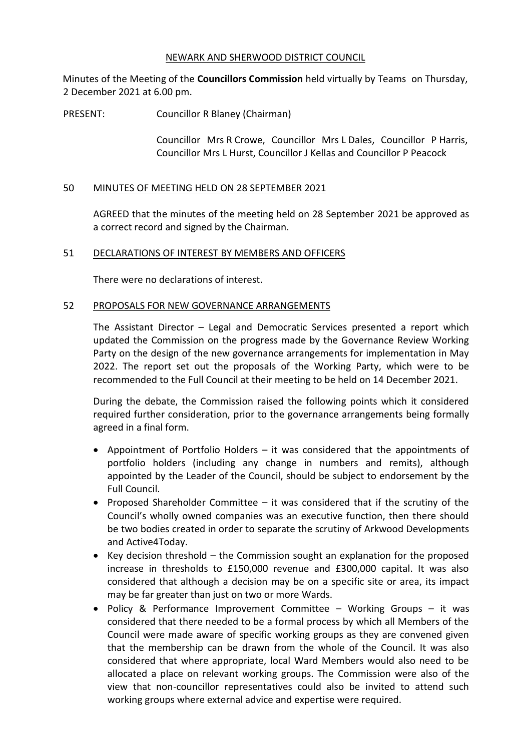## NEWARK AND SHERWOOD DISTRICT COUNCIL

Minutes of the Meeting of the **Councillors Commission** held virtually by Teams on Thursday, 2 December 2021 at 6.00 pm.

PRESENT: Councillor R Blaney (Chairman)

Councillor Mrs R Crowe, Councillor Mrs L Dales, Councillor P Harris, Councillor Mrs L Hurst, Councillor J Kellas and Councillor P Peacock

## 50 MINUTES OF MEETING HELD ON 28 SEPTEMBER 2021

AGREED that the minutes of the meeting held on 28 September 2021 be approved as a correct record and signed by the Chairman.

## 51 DECLARATIONS OF INTEREST BY MEMBERS AND OFFICERS

There were no declarations of interest.

## 52 PROPOSALS FOR NEW GOVERNANCE ARRANGEMENTS

The Assistant Director – Legal and Democratic Services presented a report which updated the Commission on the progress made by the Governance Review Working Party on the design of the new governance arrangements for implementation in May 2022. The report set out the proposals of the Working Party, which were to be recommended to the Full Council at their meeting to be held on 14 December 2021.

During the debate, the Commission raised the following points which it considered required further consideration, prior to the governance arrangements being formally agreed in a final form.

- Appointment of Portfolio Holders it was considered that the appointments of portfolio holders (including any change in numbers and remits), although appointed by the Leader of the Council, should be subject to endorsement by the Full Council.
- Proposed Shareholder Committee it was considered that if the scrutiny of the Council's wholly owned companies was an executive function, then there should be two bodies created in order to separate the scrutiny of Arkwood Developments and Active4Today.
- $\bullet$  Key decision threshold the Commission sought an explanation for the proposed increase in thresholds to £150,000 revenue and £300,000 capital. It was also considered that although a decision may be on a specific site or area, its impact may be far greater than just on two or more Wards.
- Policy & Performance Improvement Committee Working Groups it was considered that there needed to be a formal process by which all Members of the Council were made aware of specific working groups as they are convened given that the membership can be drawn from the whole of the Council. It was also considered that where appropriate, local Ward Members would also need to be allocated a place on relevant working groups. The Commission were also of the view that non-councillor representatives could also be invited to attend such working groups where external advice and expertise were required.